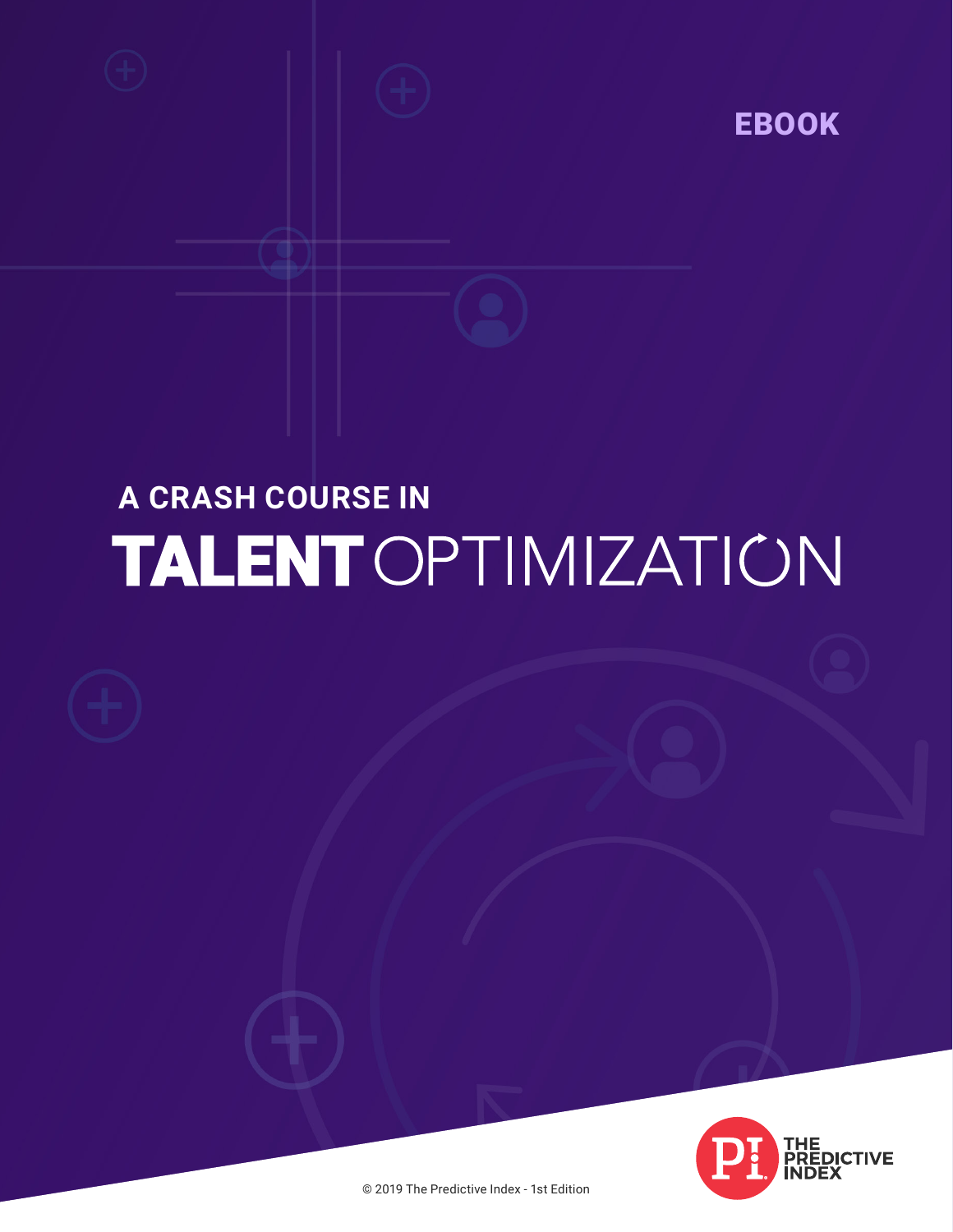

# **A CRASH COURSE IN TALENT OPTIMIZATION**



© 2019 The Predictive Index - 1st Edition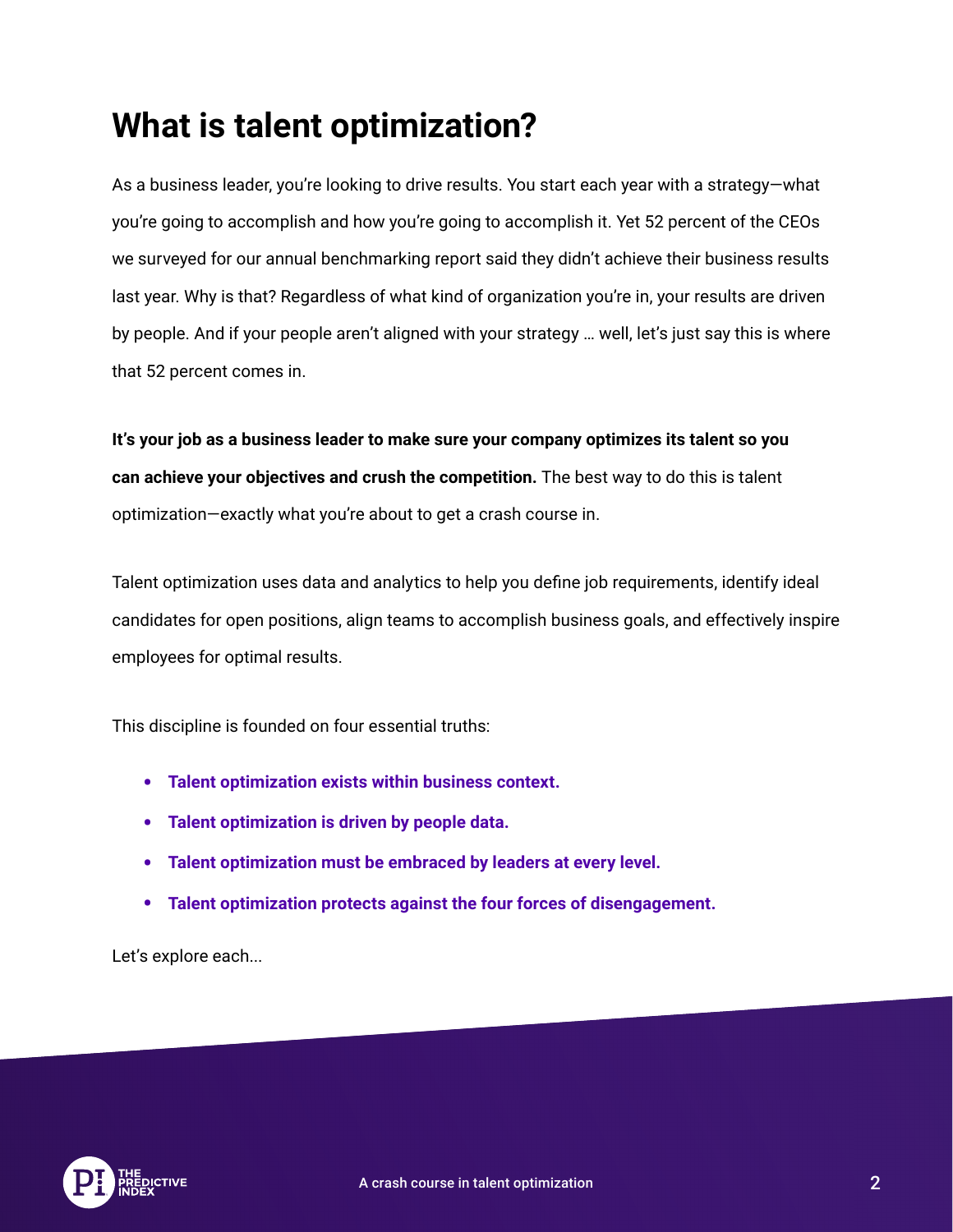### **What is talent optimization?**

As a business leader, you're looking to drive results. You start each year with a strategy—what you're going to accomplish and how you're going to accomplish it. Yet 52 percent of the CEOs we surveyed for our annual benchmarking report said they didn't achieve their business results last year. Why is that? Regardless of what kind of organization you're in, your results are driven by people. And if your people aren't aligned with your strategy … well, let's just say this is where that 52 percent comes in.

**It's your job as a business leader to make sure your company optimizes its talent so you can achieve your objectives and crush the competition.** The best way to do this is talent optimization—exactly what you're about to get a crash course in.

Talent optimization uses data and analytics to help you define job requirements, identify ideal candidates for open positions, align teams to accomplish business goals, and effectively inspire employees for optimal results.

This discipline is founded on four essential truths:

- **• Talent optimization exists within business context.**
- **• Talent optimization is driven by people data.**
- **• Talent optimization must be embraced by leaders at every level.**
- **• Talent optimization protects against the four forces of disengagement.**

Let's explore each...

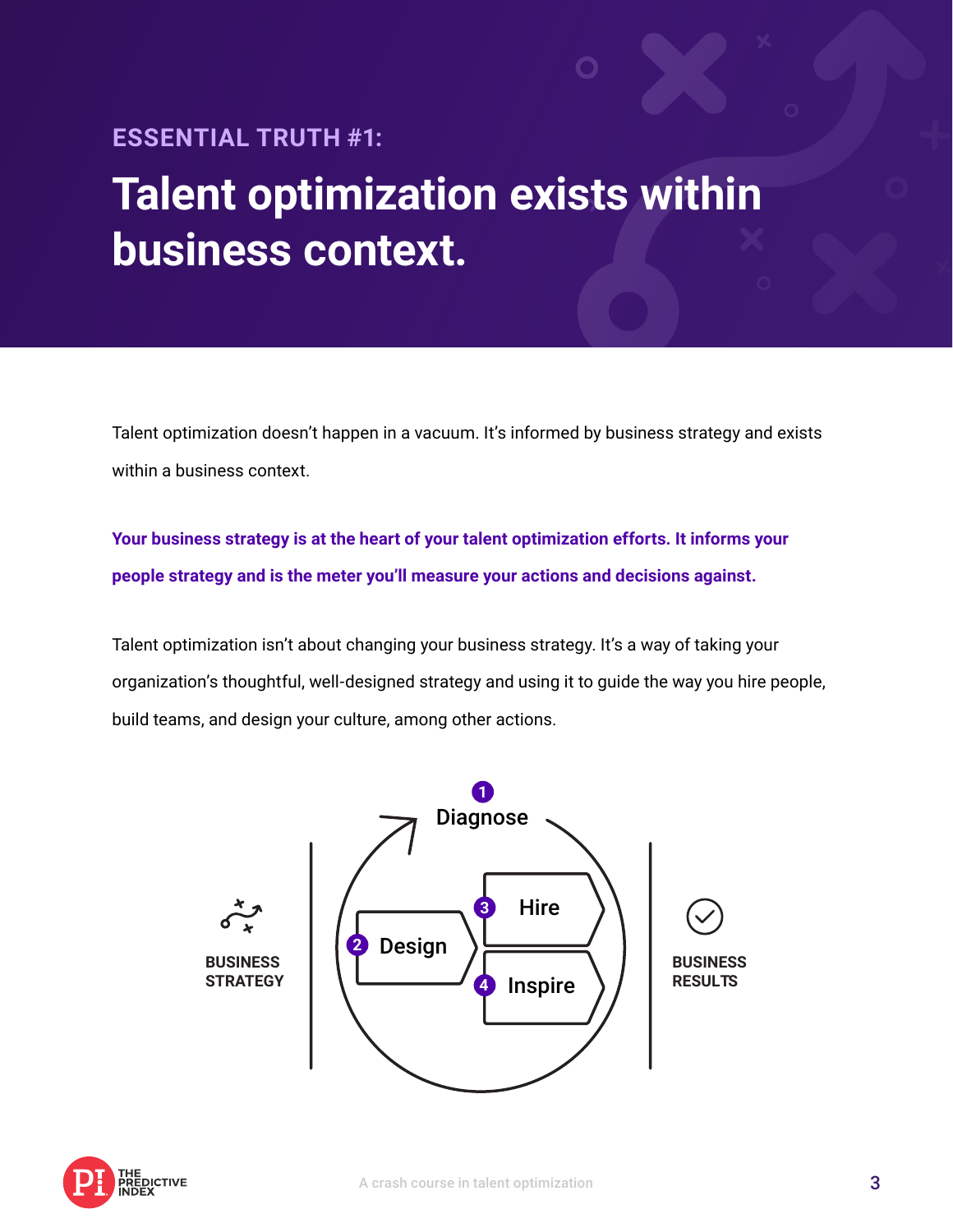### **ESSENTIAL TRUTH #1: Talent optimization exists within business context.**

Talent optimization doesn't happen in a vacuum. It's informed by business strategy and exists within a business context.

**Your business strategy is at the heart of your talent optimization efforts. It informs your people strategy and is the meter you'll measure your actions and decisions against.** 

Talent optimization isn't about changing your business strategy. It's a way of taking your organization's thoughtful, well-designed strategy and using it to guide the way you hire people, build teams, and design your culture, among other actions.



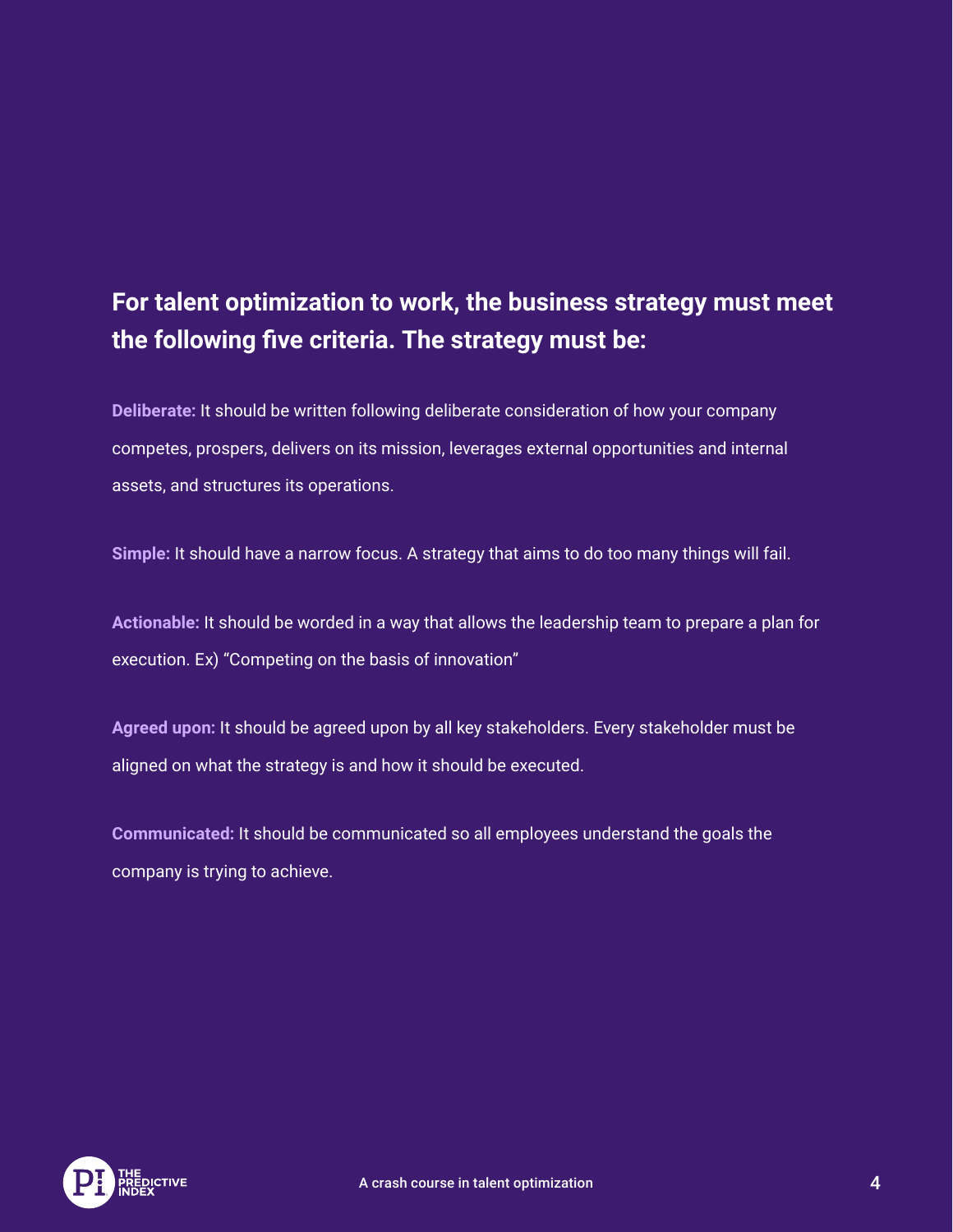#### **For talent optimization to work, the business strategy must meet the following five criteria. The strategy must be:**

**Deliberate:** It should be written following deliberate consideration of how your company competes, prospers, delivers on its mission, leverages external opportunities and internal assets, and structures its operations.

**Simple:** It should have a narrow focus. A strategy that aims to do too many things will fail.

**Actionable:** It should be worded in a way that allows the leadership team to prepare a plan for execution. Ex) "Competing on the basis of innovation"

**Agreed upon:** It should be agreed upon by all key stakeholders. Every stakeholder must be aligned on what the strategy is and how it should be executed.

**Communicated:** It should be communicated so all employees understand the goals the company is trying to achieve.

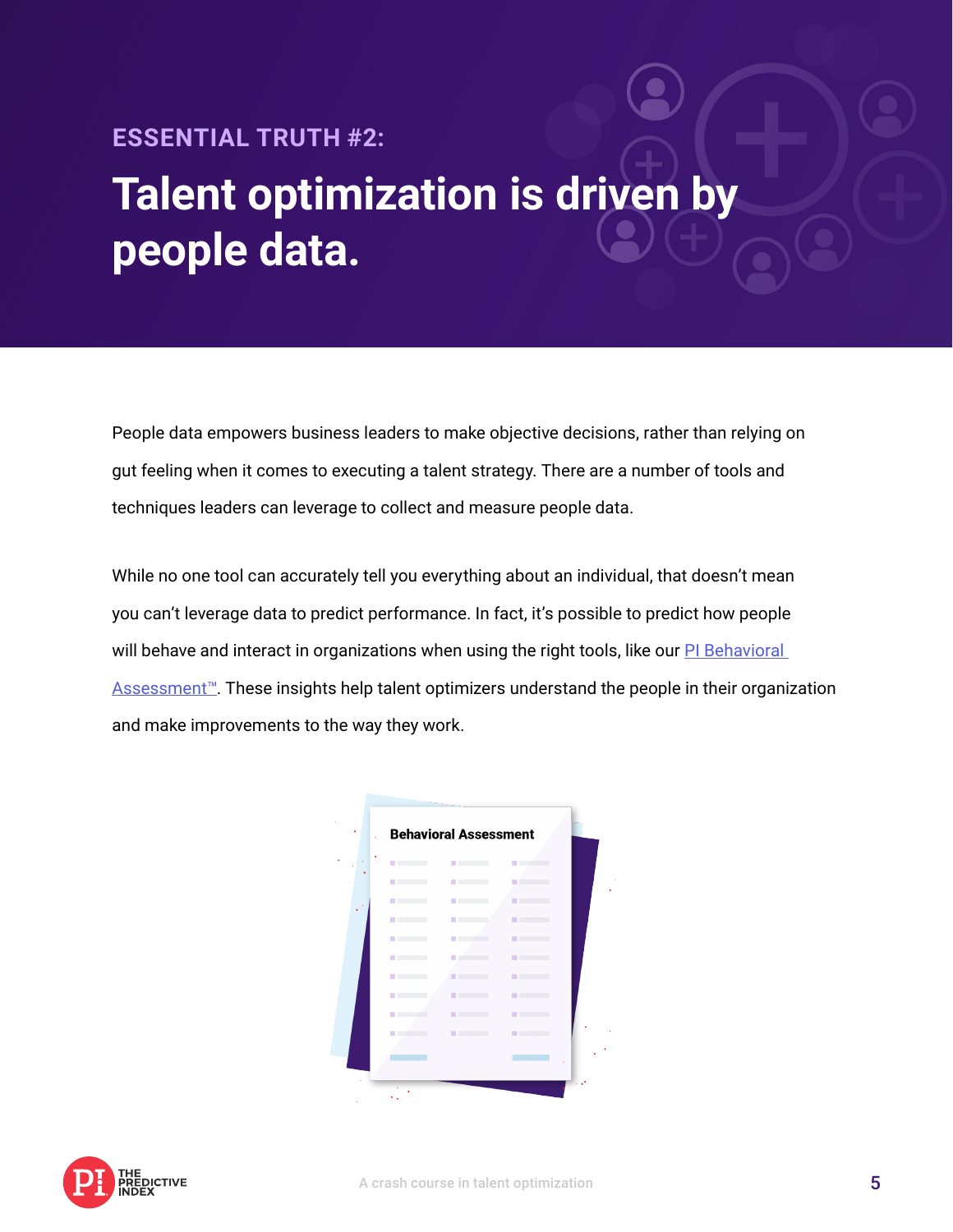### **ESSENTIAL TRUTH #2: Talent optimization is driven by people data.**

People data empowers business leaders to make objective decisions, rather than relying on gut feeling when it comes to executing a talent strategy. There are a number of tools and techniques leaders can leverage to collect and measure people data.

While no one tool can accurately tell you everything about an individual, that doesn't mean you can't leverage data to predict performance. In fact, it's possible to predict how people will behave and interact in organizations when using the right tools, like our PI Behavioral Assessment<sup>™</sup>. These insights help talent optimizers understand the people in their organization and make improvements to the way they work.

| <b>STATISTICS</b>                 | <b>Contract Contract</b>     | <b>Contract Contract</b>                                                                                       |  |
|-----------------------------------|------------------------------|----------------------------------------------------------------------------------------------------------------|--|
| <b>STATISTICS</b>                 | <b>Contract Contract</b>     | <b>STATISTICS</b>                                                                                              |  |
| <b>State State</b>                | <b>STATISTICS</b>            | <b>STATISTICS</b>                                                                                              |  |
| <b>State College</b>              | <b>State Control</b>         | <b>STATISTICS</b>                                                                                              |  |
| <b>Contract Contract</b>          | <b>State of the American</b> | <b>Contract Contract</b>                                                                                       |  |
| <b>STATISTICS</b>                 | <b>Contract Contract</b>     | <b>STATISTICS</b>                                                                                              |  |
| <b>State College</b>              | <b>STATISTICS</b>            | <b>The Company</b>                                                                                             |  |
| <b>Contract Contract</b>          | <b>STATISTICS</b>            | <b>STATISTICS</b>                                                                                              |  |
| <b>Contract Contract Contract</b> | <b>STATISTICS</b>            | <b>STATISTICS</b>                                                                                              |  |
|                                   | <b>STATISTICS</b>            | <b>The Common</b>                                                                                              |  |
|                                   |                              |                                                                                                                |  |
|                                   |                              | and the state of the state of the state of the state of the state of the state of the state of the state of th |  |

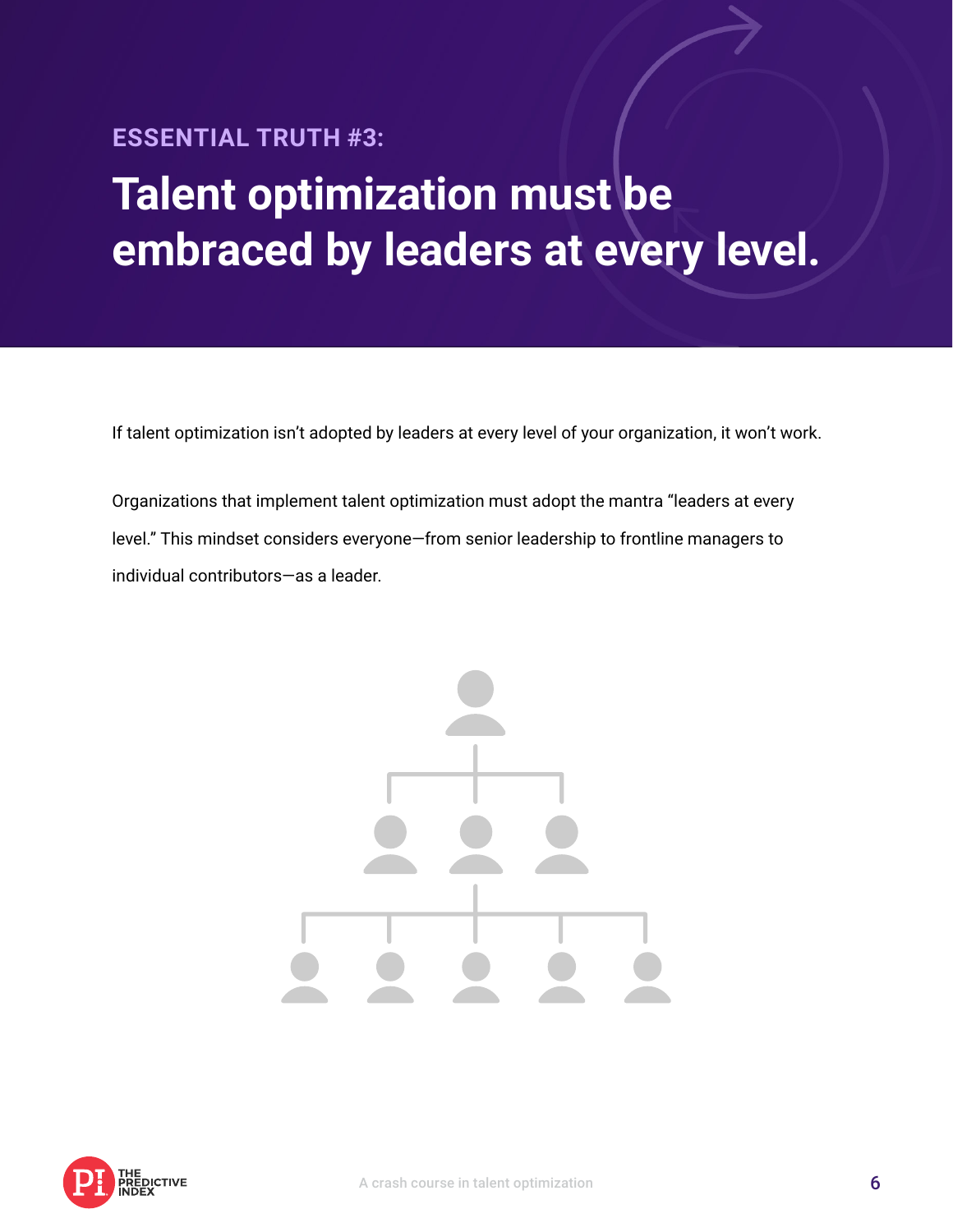### **ESSENTIAL TRUTH #3: Talent optimization must be embraced by leaders at every level.**

If talent optimization isn't adopted by leaders at every level of your organization, it won't work.

Organizations that implement talent optimization must adopt the mantra "leaders at every level." This mindset considers everyone—from senior leadership to frontline managers to individual contributors—as a leader.



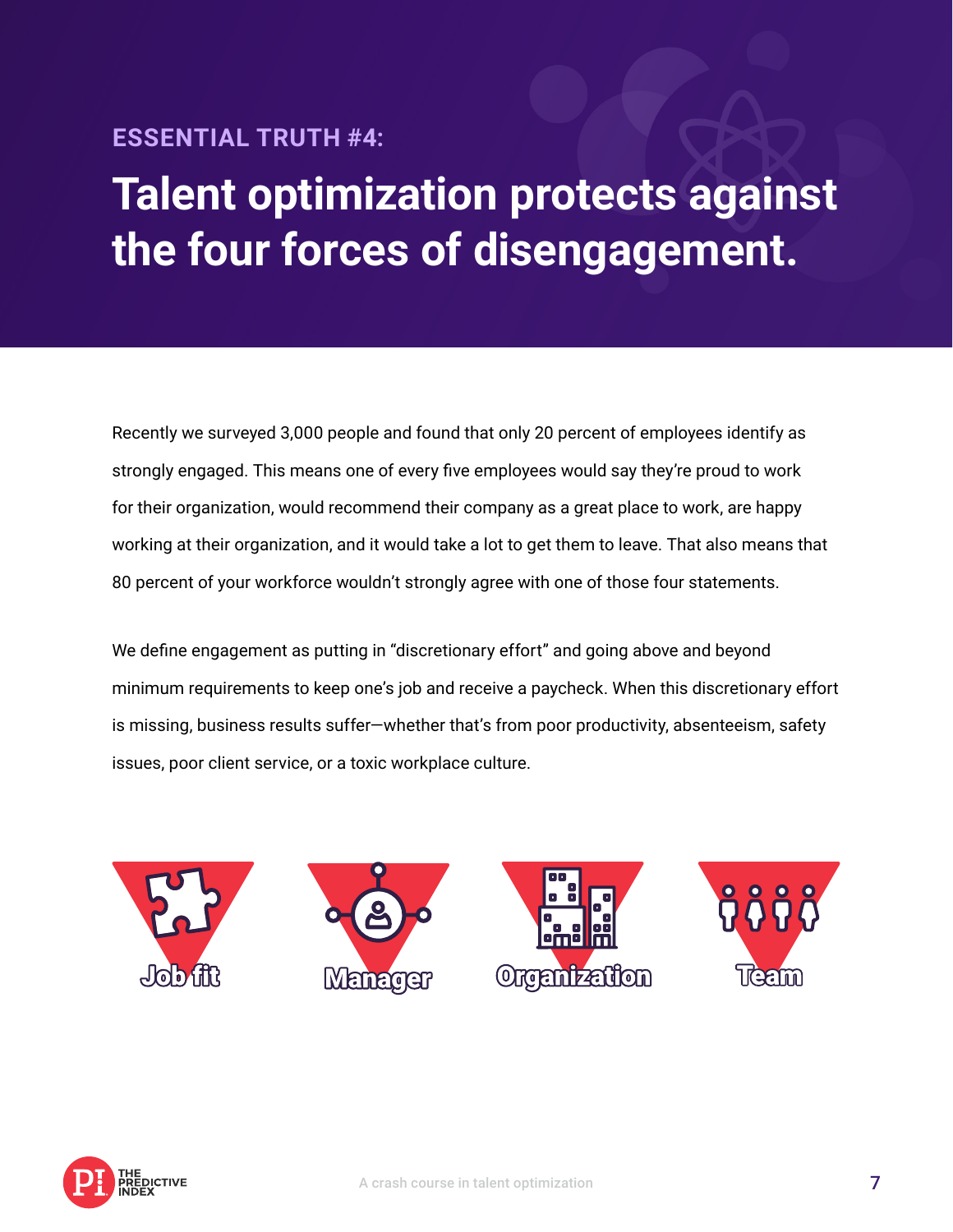#### **ESSENTIAL TRUTH #4:**

## **Talent optimization protects against the four forces of disengagement.**

Recently we surveyed 3,000 people and found that only 20 percent of employees identify as strongly engaged. This means one of every five employees would say they're proud to work for their organization, would recommend their company as a great place to work, are happy working at their organization, and it would take a lot to get them to leave. That also means that 80 percent of your workforce wouldn't strongly agree with one of those four statements.

We define engagement as putting in "discretionary effort" and going above and beyond minimum requirements to keep one's job and receive a paycheck. When this discretionary effort is missing, business results suffer—whether that's from poor productivity, absenteeism, safety issues, poor client service, or a toxic workplace culture.



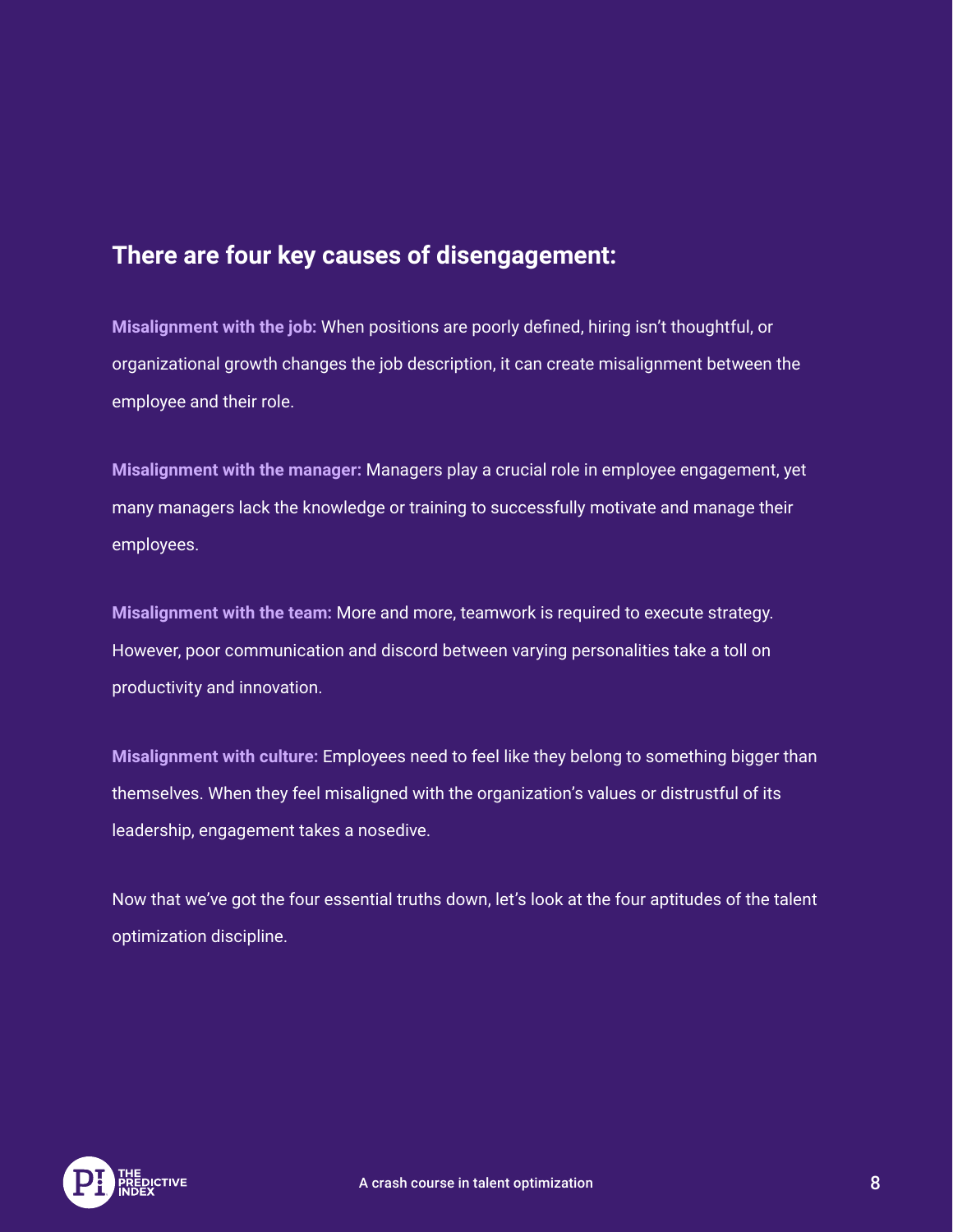#### **There are four key causes of disengagement:**

**Misalignment with the job:** When positions are poorly defined, hiring isn't thoughtful, or organizational growth changes the job description, it can create misalignment between the employee and their role.

**Misalignment with the manager:** Managers play a crucial role in employee engagement, yet many managers lack the knowledge or training to successfully motivate and manage their employees.

**Misalignment with the team:** More and more, teamwork is required to execute strategy. However, poor communication and discord between varying personalities take a toll on productivity and innovation.

**Misalignment with culture:** Employees need to feel like they belong to something bigger than themselves. When they feel misaligned with the organization's values or distrustful of its leadership, engagement takes a nosedive.

Now that we've got the four essential truths down, let's look at the four aptitudes of the talent optimization discipline.

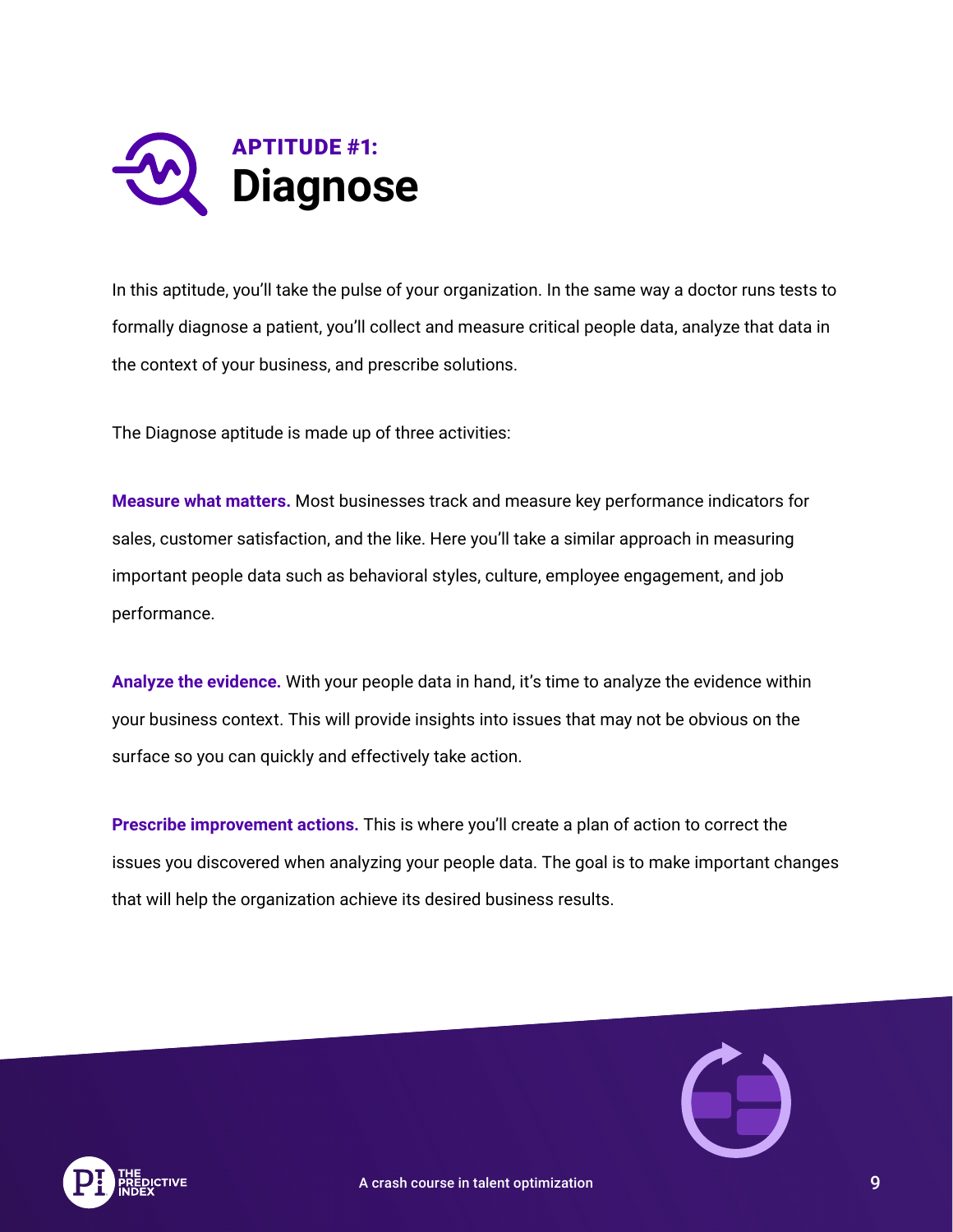

In this aptitude, you'll take the pulse of your organization. In the same way a doctor runs tests to formally diagnose a patient, you'll collect and measure critical people data, analyze that data in the context of your business, and prescribe solutions.

The Diagnose aptitude is made up of three activities:

**Measure what matters.** Most businesses track and measure key performance indicators for sales, customer satisfaction, and the like. Here you'll take a similar approach in measuring important people data such as behavioral styles, culture, employee engagement, and job performance.

**Analyze the evidence.** With your people data in hand, it's time to analyze the evidence within your business context. This will provide insights into issues that may not be obvious on the surface so you can quickly and effectively take action.

**Prescribe improvement actions.** This is where you'll create a plan of action to correct the issues you discovered when analyzing your people data. The goal is to make important changes that will help the organization achieve its desired business results.



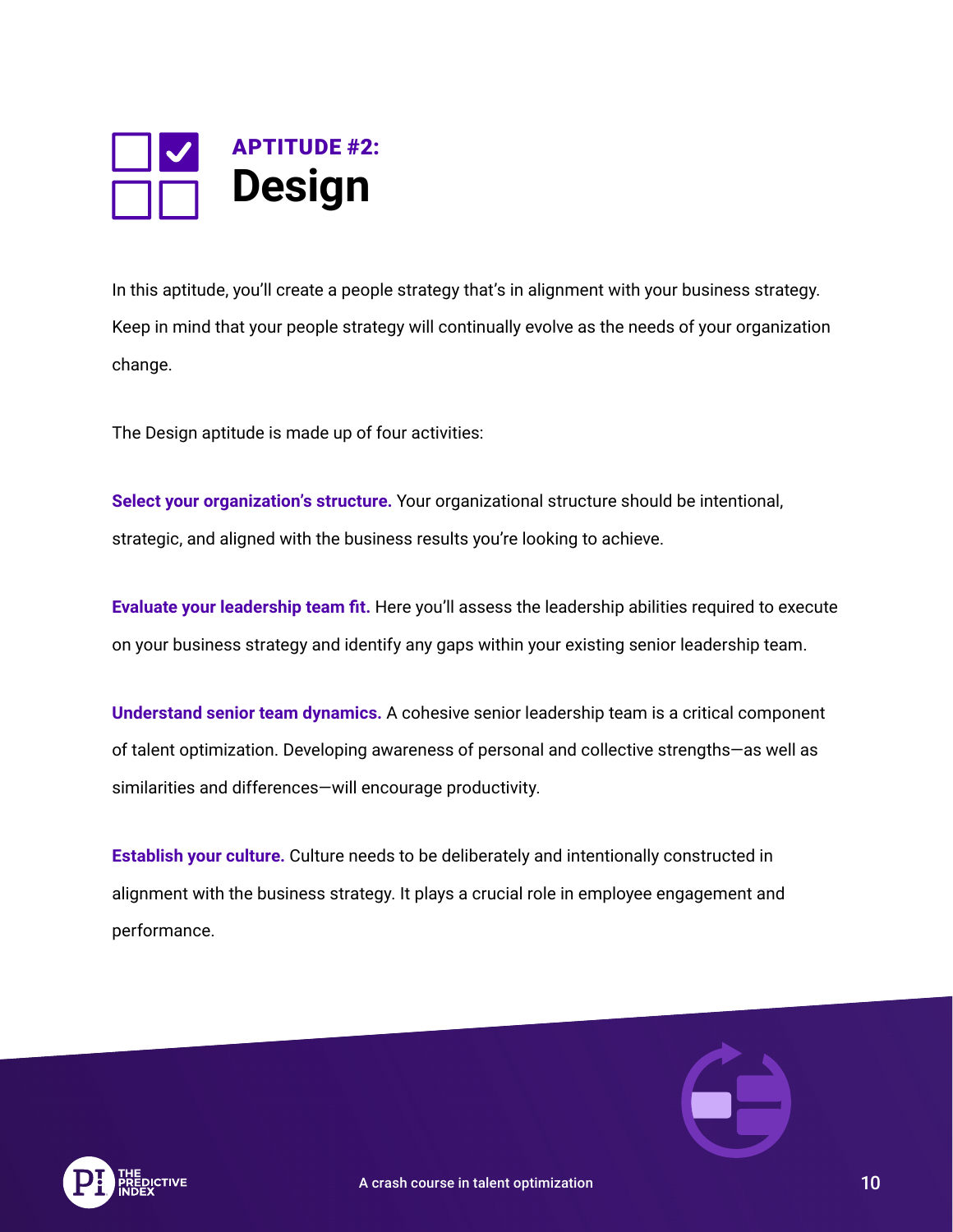

In this aptitude, you'll create a people strategy that's in alignment with your business strategy. Keep in mind that your people strategy will continually evolve as the needs of your organization change.

The Design aptitude is made up of four activities:

**Select your organization's structure.** Your organizational structure should be intentional, strategic, and aligned with the business results you're looking to achieve.

**Evaluate your leadership team fit.** Here you'll assess the leadership abilities required to execute on your business strategy and identify any gaps within your existing senior leadership team.

**Understand senior team dynamics.** A cohesive senior leadership team is a critical component of talent optimization. Developing awareness of personal and collective strengths—as well as similarities and differences—will encourage productivity.

**Establish your culture.** Culture needs to be deliberately and intentionally constructed in alignment with the business strategy. It plays a crucial role in employee engagement and performance.



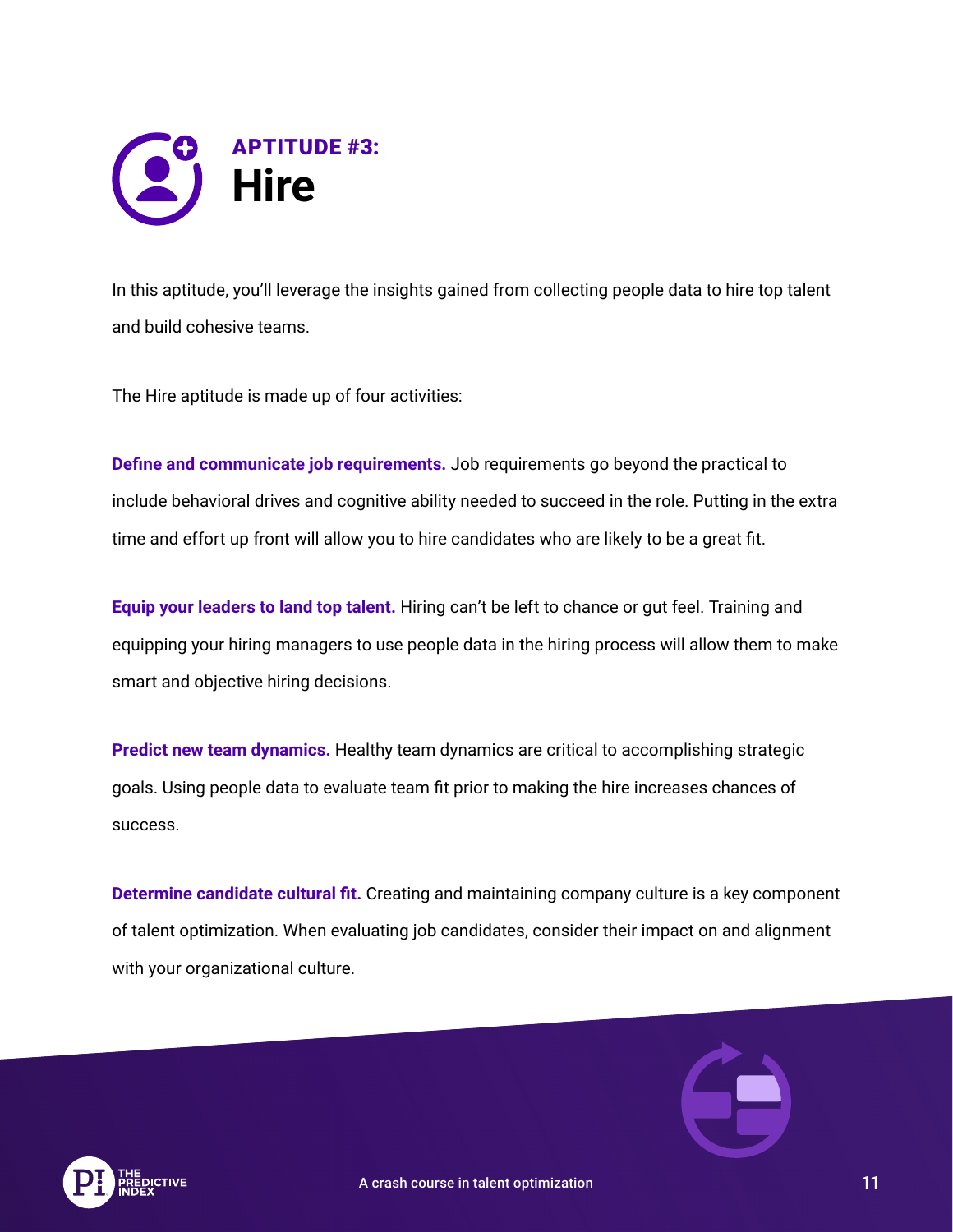

In this aptitude, you'll leverage the insights gained from collecting people data to hire top talent and build cohesive teams.

The Hire aptitude is made up of four activities:

**Define and communicate job requirements.** Job requirements go beyond the practical to include behavioral drives and cognitive ability needed to succeed in the role. Putting in the extra time and effort up front will allow you to hire candidates who are likely to be a great fit.

**Equip your leaders to land top talent.** Hiring can't be left to chance or gut feel. Training and equipping your hiring managers to use people data in the hiring process will allow them to make smart and objective hiring decisions.

**Predict new team dynamics.** Healthy team dynamics are critical to accomplishing strategic goals. Using people data to evaluate team fit prior to making the hire increases chances of success.

**Determine candidate cultural fit.** Creating and maintaining company culture is a key component of talent optimization. When evaluating job candidates, consider their impact on and alignment with your organizational culture.



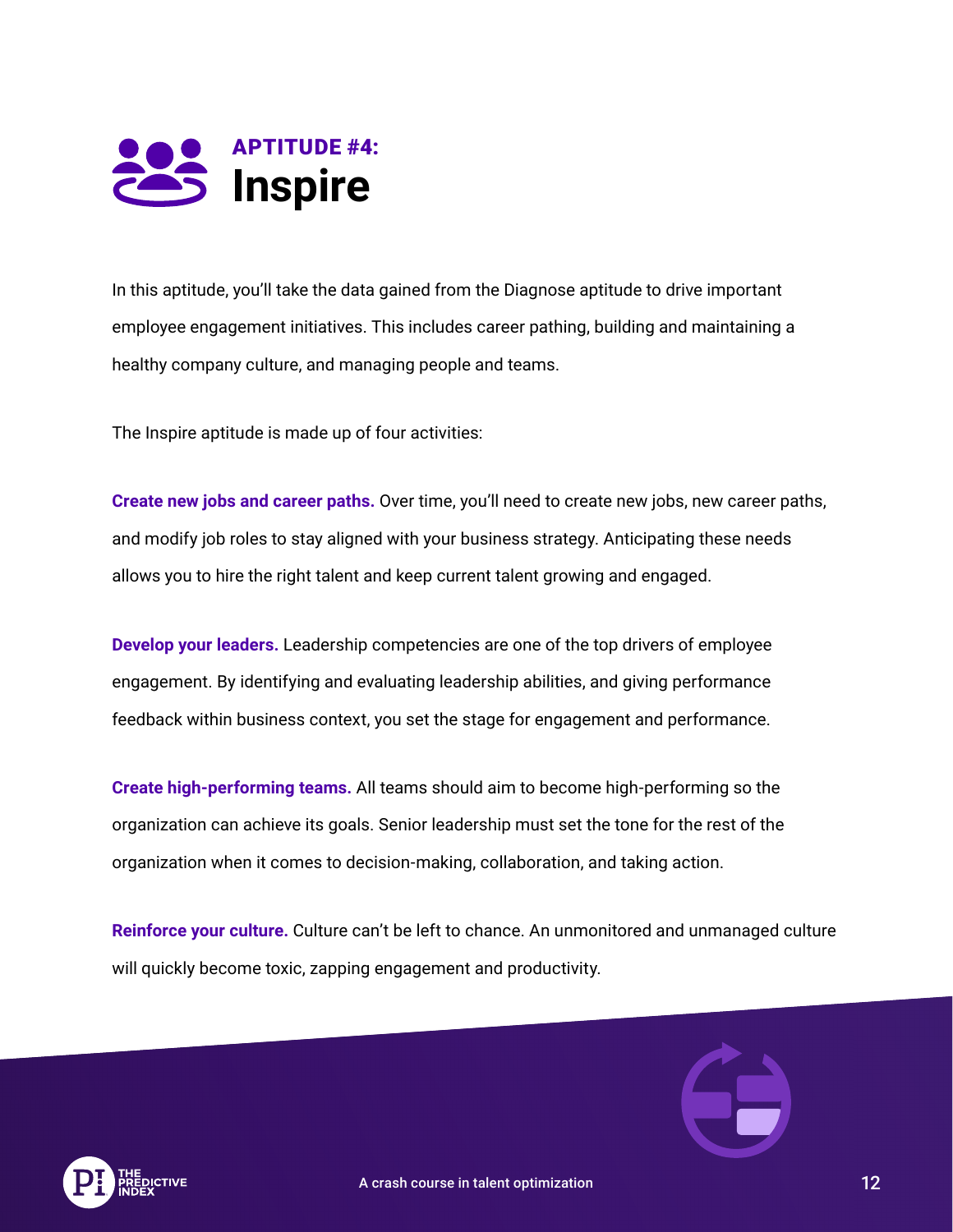

In this aptitude, you'll take the data gained from the Diagnose aptitude to drive important employee engagement initiatives. This includes career pathing, building and maintaining a healthy company culture, and managing people and teams.

The Inspire aptitude is made up of four activities:

**Create new jobs and career paths.** Over time, you'll need to create new jobs, new career paths, and modify job roles to stay aligned with your business strategy. Anticipating these needs allows you to hire the right talent and keep current talent growing and engaged.

**Develop your leaders.** Leadership competencies are one of the top drivers of employee engagement. By identifying and evaluating leadership abilities, and giving performance feedback within business context, you set the stage for engagement and performance.

**Create high-performing teams.** All teams should aim to become high-performing so the organization can achieve its goals. Senior leadership must set the tone for the rest of the organization when it comes to decision-making, collaboration, and taking action.

**Reinforce your culture.** Culture can't be left to chance. An unmonitored and unmanaged culture will quickly become toxic, zapping engagement and productivity.